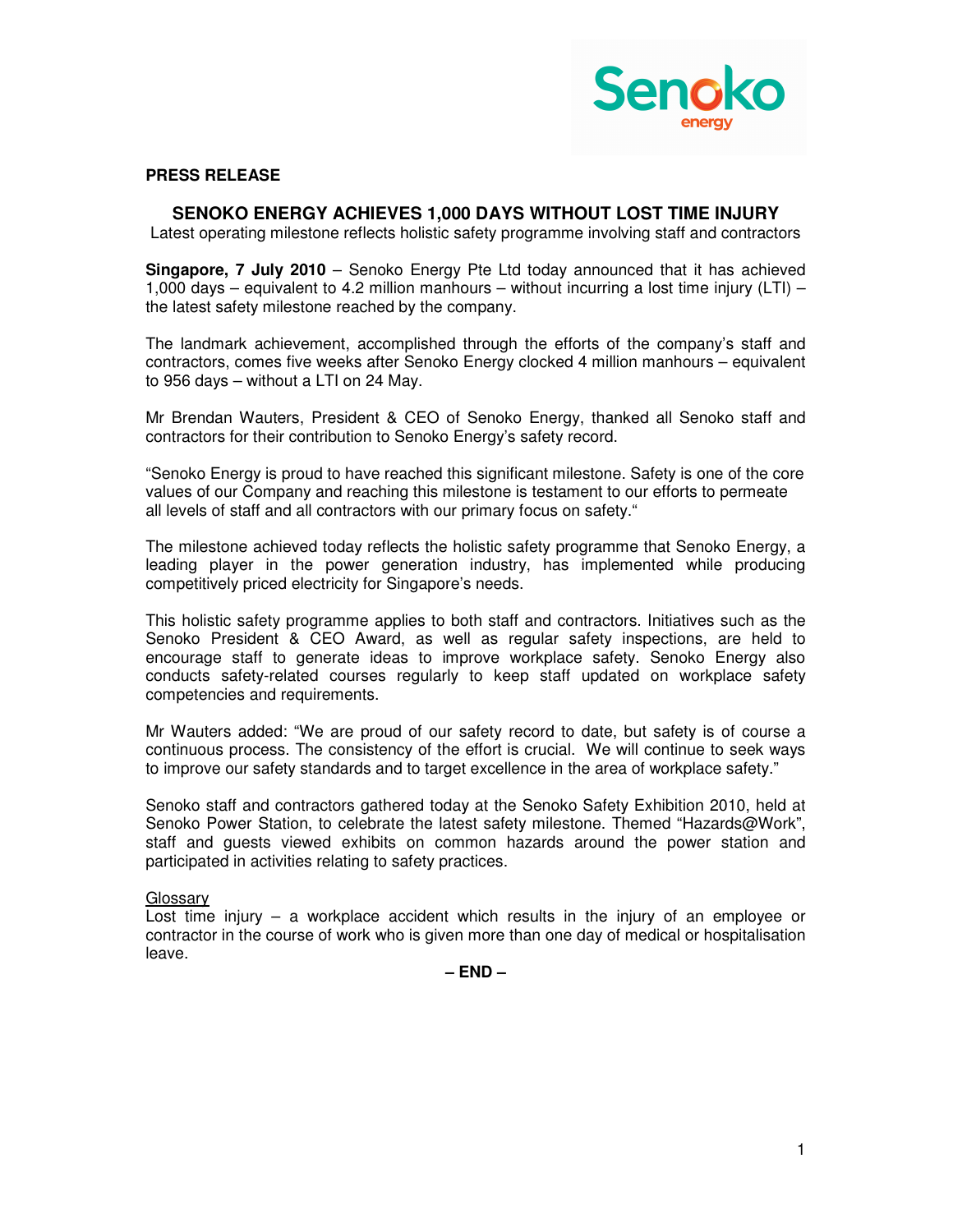

## **PRESS RELEASE**

## **SENOKO ENERGY ACHIEVES 1,000 DAYS WITHOUT LOST TIME INJURY**

Latest operating milestone reflects holistic safety programme involving staff and contractors

**Singapore, 7 July 2010** – Senoko Energy Pte Ltd today announced that it has achieved 1,000 days – equivalent to 4.2 million manhours – without incurring a lost time injury (LTI) – the latest safety milestone reached by the company.

The landmark achievement, accomplished through the efforts of the company's staff and contractors, comes five weeks after Senoko Energy clocked 4 million manhours – equivalent to 956 days – without a LTI on 24 May.

Mr Brendan Wauters, President & CEO of Senoko Energy, thanked all Senoko staff and contractors for their contribution to Senoko Energy's safety record.

"Senoko Energy is proud to have reached this significant milestone. Safety is one of the core values of our Company and reaching this milestone is testament to our efforts to permeate all levels of staff and all contractors with our primary focus on safety."

The milestone achieved today reflects the holistic safety programme that Senoko Energy, a leading player in the power generation industry, has implemented while producing competitively priced electricity for Singapore's needs.

This holistic safety programme applies to both staff and contractors. Initiatives such as the Senoko President & CEO Award, as well as regular safety inspections, are held to encourage staff to generate ideas to improve workplace safety. Senoko Energy also conducts safety-related courses regularly to keep staff updated on workplace safety competencies and requirements.

Mr Wauters added: "We are proud of our safety record to date, but safety is of course a continuous process. The consistency of the effort is crucial. We will continue to seek ways to improve our safety standards and to target excellence in the area of workplace safety."

Senoko staff and contractors gathered today at the Senoko Safety Exhibition 2010, held at Senoko Power Station, to celebrate the latest safety milestone. Themed "Hazards@Work", staff and guests viewed exhibits on common hazards around the power station and participated in activities relating to safety practices.

## Glossary

Lost time injury – a workplace accident which results in the injury of an employee or contractor in the course of work who is given more than one day of medical or hospitalisation leave.

**– END –**